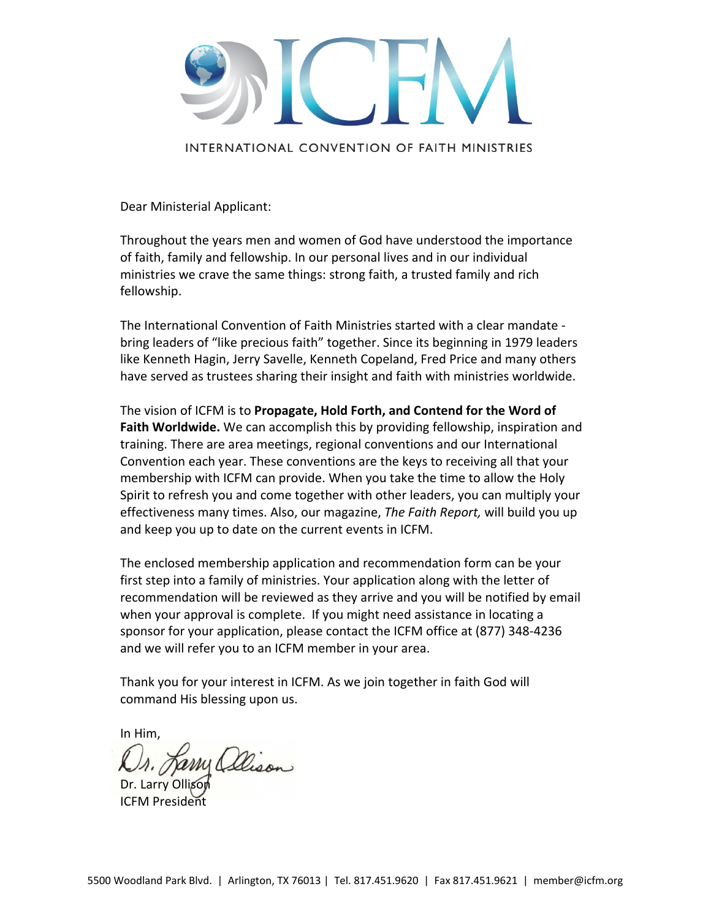

INTERNATIONAL CONVENTION OF FAITH MINISTRIES

Dear Ministerial Applicant:

Throughout the years men and women of God have understood the importance of faith, family and fellowship. In our personal lives and in our individual ministries we crave the same things: strong faith, a trusted family and rich fellowship.

The International Convention of Faith Ministries started with a clear mandate ‐ bring leaders of "like precious faith" together. Since its beginning in 1979 leaders like Kenneth Hagin, Jerry Savelle, Kenneth Copeland, Fred Price and many others have served as trustees sharing their insight and faith with ministries worldwide.

The vision of ICFM is to **Propagate, Hold Forth, and Contend for the Word of Faith Worldwide.** We can accomplish this by providing fellowship, inspiration and training. There are area meetings, regional conventions and our International Convention each year. These conventions are the keys to receiving all that your membership with ICFM can provide. When you take the time to allow the Holy Spirit to refresh you and come together with other leaders, you can multiply your effectiveness many times. Also, our magazine, *The Faith Report,* will build you up and keep you up to date on the current events in ICFM.

The enclosed membership application and recommendation form can be your first step into a family of ministries. Your application along with the letter of recommendation will be reviewed as they arrive and you will be notified by email when your approval is complete. If you might need assistance in locating a sponsor for your application, please contact the ICFM office at (877) 348‐4236 and we will refer you to an ICFM member in your area.

Thank you for your interest in ICFM. As we join together in faith God will command His blessing upon us.

In Him,

Dr. Larry Ollison ICFM President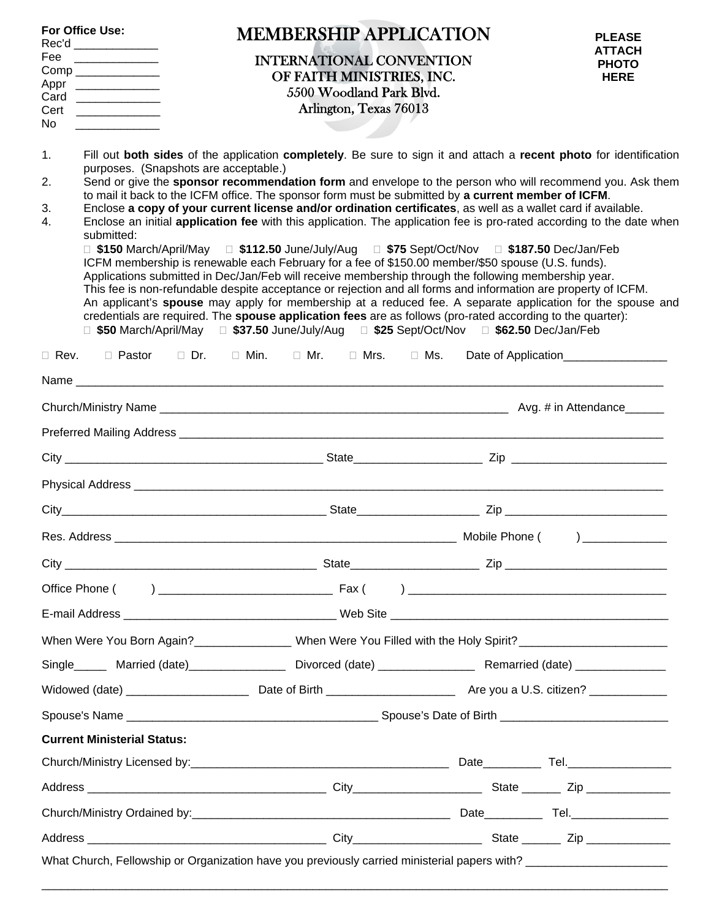| Fee<br>Appr<br>Card<br>Cert<br>No.                                                                                                                                                                                                                                                                                                                                                                                                                                                                                                                                                                                                                                                                                                                                                                                                                                                                                                                                                                                                                                                                                                                                                                                                                                                                                                                                                                                                  | For Office Use:<br>Rec'd ______________ | <b>MEMBERSHIP APPLICATION</b><br><b>INTERNATIONAL CONVENTION</b><br>OF FAITH MINISTRIES, INC.<br>5500 Woodland Park Blvd.<br>Arlington, Texas 76013 | <b>PLEASE</b><br><b>ATTACH</b><br><b>PHOTO</b><br><b>HERE</b> |  |  |  |
|-------------------------------------------------------------------------------------------------------------------------------------------------------------------------------------------------------------------------------------------------------------------------------------------------------------------------------------------------------------------------------------------------------------------------------------------------------------------------------------------------------------------------------------------------------------------------------------------------------------------------------------------------------------------------------------------------------------------------------------------------------------------------------------------------------------------------------------------------------------------------------------------------------------------------------------------------------------------------------------------------------------------------------------------------------------------------------------------------------------------------------------------------------------------------------------------------------------------------------------------------------------------------------------------------------------------------------------------------------------------------------------------------------------------------------------|-----------------------------------------|-----------------------------------------------------------------------------------------------------------------------------------------------------|---------------------------------------------------------------|--|--|--|
| 1 <sub>1</sub><br>Fill out both sides of the application completely. Be sure to sign it and attach a recent photo for identification<br>purposes. (Snapshots are acceptable.)<br>Send or give the sponsor recommendation form and envelope to the person who will recommend you. Ask them<br>2.<br>to mail it back to the ICFM office. The sponsor form must be submitted by a current member of ICFM.<br>Enclose a copy of your current license and/or ordination certificates, as well as a wallet card if available.<br>3.<br>Enclose an initial application fee with this application. The application fee is pro-rated according to the date when<br>4.<br>submitted:<br>□ \$150 March/April/May □ \$112.50 June/July/Aug □ \$75 Sept/Oct/Nov □ \$187.50 Dec/Jan/Feb<br>ICFM membership is renewable each February for a fee of \$150.00 member/\$50 spouse (U.S. funds).<br>Applications submitted in Dec/Jan/Feb will receive membership through the following membership year.<br>This fee is non-refundable despite acceptance or rejection and all forms and information are property of ICFM.<br>An applicant's spouse may apply for membership at a reduced fee. A separate application for the spouse and<br>credentials are required. The spouse application fees are as follows (pro-rated according to the quarter):<br>□ \$50 March/April/May  □ \$37.50 June/July/Aug  □ \$25 Sept/Oct/Nov  □ \$62.50 Dec/Jan/Feb |                                         |                                                                                                                                                     |                                                               |  |  |  |
| $\Box$ Rev.                                                                                                                                                                                                                                                                                                                                                                                                                                                                                                                                                                                                                                                                                                                                                                                                                                                                                                                                                                                                                                                                                                                                                                                                                                                                                                                                                                                                                         |                                         | □ Pastor □ Dr. □ Min. □ Mr. □ Mrs. □ Ms.                                                                                                            | Date of Application_________________                          |  |  |  |
|                                                                                                                                                                                                                                                                                                                                                                                                                                                                                                                                                                                                                                                                                                                                                                                                                                                                                                                                                                                                                                                                                                                                                                                                                                                                                                                                                                                                                                     |                                         |                                                                                                                                                     |                                                               |  |  |  |
|                                                                                                                                                                                                                                                                                                                                                                                                                                                                                                                                                                                                                                                                                                                                                                                                                                                                                                                                                                                                                                                                                                                                                                                                                                                                                                                                                                                                                                     |                                         |                                                                                                                                                     |                                                               |  |  |  |
|                                                                                                                                                                                                                                                                                                                                                                                                                                                                                                                                                                                                                                                                                                                                                                                                                                                                                                                                                                                                                                                                                                                                                                                                                                                                                                                                                                                                                                     |                                         |                                                                                                                                                     |                                                               |  |  |  |
|                                                                                                                                                                                                                                                                                                                                                                                                                                                                                                                                                                                                                                                                                                                                                                                                                                                                                                                                                                                                                                                                                                                                                                                                                                                                                                                                                                                                                                     |                                         |                                                                                                                                                     |                                                               |  |  |  |
| $City_$                                                                                                                                                                                                                                                                                                                                                                                                                                                                                                                                                                                                                                                                                                                                                                                                                                                                                                                                                                                                                                                                                                                                                                                                                                                                                                                                                                                                                             |                                         |                                                                                                                                                     |                                                               |  |  |  |
|                                                                                                                                                                                                                                                                                                                                                                                                                                                                                                                                                                                                                                                                                                                                                                                                                                                                                                                                                                                                                                                                                                                                                                                                                                                                                                                                                                                                                                     |                                         |                                                                                                                                                     |                                                               |  |  |  |
|                                                                                                                                                                                                                                                                                                                                                                                                                                                                                                                                                                                                                                                                                                                                                                                                                                                                                                                                                                                                                                                                                                                                                                                                                                                                                                                                                                                                                                     |                                         |                                                                                                                                                     |                                                               |  |  |  |
|                                                                                                                                                                                                                                                                                                                                                                                                                                                                                                                                                                                                                                                                                                                                                                                                                                                                                                                                                                                                                                                                                                                                                                                                                                                                                                                                                                                                                                     |                                         |                                                                                                                                                     |                                                               |  |  |  |
|                                                                                                                                                                                                                                                                                                                                                                                                                                                                                                                                                                                                                                                                                                                                                                                                                                                                                                                                                                                                                                                                                                                                                                                                                                                                                                                                                                                                                                     |                                         |                                                                                                                                                     |                                                               |  |  |  |
| When Were You Born Again? _________________ When Were You Filled with the Holy Spirit? ______________________                                                                                                                                                                                                                                                                                                                                                                                                                                                                                                                                                                                                                                                                                                                                                                                                                                                                                                                                                                                                                                                                                                                                                                                                                                                                                                                       |                                         |                                                                                                                                                     |                                                               |  |  |  |
|                                                                                                                                                                                                                                                                                                                                                                                                                                                                                                                                                                                                                                                                                                                                                                                                                                                                                                                                                                                                                                                                                                                                                                                                                                                                                                                                                                                                                                     |                                         | Single_______ Married (date)____________________ Divorced (date)_________________ Remarried (date)____________                                      |                                                               |  |  |  |
|                                                                                                                                                                                                                                                                                                                                                                                                                                                                                                                                                                                                                                                                                                                                                                                                                                                                                                                                                                                                                                                                                                                                                                                                                                                                                                                                                                                                                                     |                                         |                                                                                                                                                     |                                                               |  |  |  |
|                                                                                                                                                                                                                                                                                                                                                                                                                                                                                                                                                                                                                                                                                                                                                                                                                                                                                                                                                                                                                                                                                                                                                                                                                                                                                                                                                                                                                                     |                                         |                                                                                                                                                     |                                                               |  |  |  |
|                                                                                                                                                                                                                                                                                                                                                                                                                                                                                                                                                                                                                                                                                                                                                                                                                                                                                                                                                                                                                                                                                                                                                                                                                                                                                                                                                                                                                                     | <b>Current Ministerial Status:</b>      |                                                                                                                                                     |                                                               |  |  |  |
|                                                                                                                                                                                                                                                                                                                                                                                                                                                                                                                                                                                                                                                                                                                                                                                                                                                                                                                                                                                                                                                                                                                                                                                                                                                                                                                                                                                                                                     |                                         |                                                                                                                                                     |                                                               |  |  |  |
|                                                                                                                                                                                                                                                                                                                                                                                                                                                                                                                                                                                                                                                                                                                                                                                                                                                                                                                                                                                                                                                                                                                                                                                                                                                                                                                                                                                                                                     |                                         |                                                                                                                                                     |                                                               |  |  |  |
|                                                                                                                                                                                                                                                                                                                                                                                                                                                                                                                                                                                                                                                                                                                                                                                                                                                                                                                                                                                                                                                                                                                                                                                                                                                                                                                                                                                                                                     |                                         |                                                                                                                                                     |                                                               |  |  |  |
|                                                                                                                                                                                                                                                                                                                                                                                                                                                                                                                                                                                                                                                                                                                                                                                                                                                                                                                                                                                                                                                                                                                                                                                                                                                                                                                                                                                                                                     |                                         |                                                                                                                                                     |                                                               |  |  |  |
|                                                                                                                                                                                                                                                                                                                                                                                                                                                                                                                                                                                                                                                                                                                                                                                                                                                                                                                                                                                                                                                                                                                                                                                                                                                                                                                                                                                                                                     |                                         | What Church, Fellowship or Organization have you previously carried ministerial papers with? ___________________                                    |                                                               |  |  |  |

\_\_\_\_\_\_\_\_\_\_\_\_\_\_\_\_\_\_\_\_\_\_\_\_\_\_\_\_\_\_\_\_\_\_\_\_\_\_\_\_\_\_\_\_\_\_\_\_\_\_\_\_\_\_\_\_\_\_\_\_\_\_\_\_\_\_\_\_\_\_\_\_\_\_\_\_\_\_\_\_\_\_\_\_\_\_\_\_\_\_\_\_\_\_\_\_\_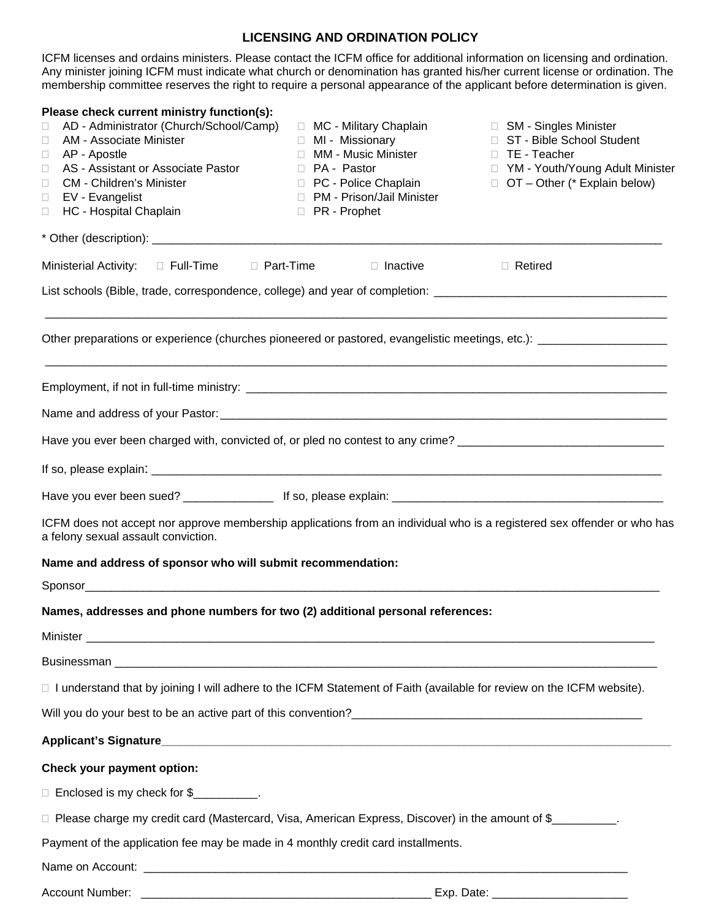## **LICENSING AND ORDINATION POLICY**

ICFM licenses and ordains ministers. Please contact the ICFM office for additional information on licensing and ordination. Any minister joining ICFM must indicate what church or denomination has granted his/her current license or ordination. The membership committee reserves the right to require a personal appearance of the applicant before determination is given.

| Please check current ministry function(s):                                                                                                                     |                                                      |                                                        |
|----------------------------------------------------------------------------------------------------------------------------------------------------------------|------------------------------------------------------|--------------------------------------------------------|
| AD - Administrator (Church/School/Camp)<br>□<br>AM - Associate Minister<br>$\Box$                                                                              | □ MC - Military Chaplain<br>□ MI - Missionary        | □ SM - Singles Minister<br>□ ST - Bible School Student |
| AP - Apostle<br>$\Box$                                                                                                                                         | □ MM - Music Minister                                | □ TE - Teacher                                         |
| AS - Assistant or Associate Pastor<br>$\Box$                                                                                                                   | D PA - Pastor                                        | □ YM - Youth/Young Adult Minister                      |
| <b>CM</b> - Children's Minister<br>$\Box$                                                                                                                      | □ PC - Police Chaplain                               | $\Box$ OT – Other (* Explain below)                    |
| EV - Evangelist<br>$\Box$<br>HC - Hospital Chaplain<br>$\Box$                                                                                                  | □ PM - Prison/Jail Minister<br><b>D</b> PR - Prophet |                                                        |
|                                                                                                                                                                |                                                      |                                                        |
| Ministerial Activity: $\square$ Full-Time $\square$ Part-Time                                                                                                  | □ Inactive                                           | □ Retired                                              |
| List schools (Bible, trade, correspondence, college) and year of completion: _________________________________                                                 |                                                      |                                                        |
| Other preparations or experience (churches pioneered or pastored, evangelistic meetings, etc.): _________________                                              |                                                      |                                                        |
|                                                                                                                                                                |                                                      |                                                        |
|                                                                                                                                                                |                                                      |                                                        |
| Have you ever been charged with, convicted of, or pled no contest to any crime? ______________________________                                                 |                                                      |                                                        |
|                                                                                                                                                                |                                                      |                                                        |
|                                                                                                                                                                |                                                      |                                                        |
| ICFM does not accept nor approve membership applications from an individual who is a registered sex offender or who has<br>a felony sexual assault conviction. |                                                      |                                                        |
| Name and address of sponsor who will submit recommendation:                                                                                                    |                                                      |                                                        |
|                                                                                                                                                                |                                                      |                                                        |
| Names, addresses and phone numbers for two (2) additional personal references:                                                                                 |                                                      |                                                        |
|                                                                                                                                                                |                                                      |                                                        |
|                                                                                                                                                                |                                                      |                                                        |
| □ I understand that by joining I will adhere to the ICFM Statement of Faith (available for review on the ICFM website).                                        |                                                      |                                                        |
|                                                                                                                                                                |                                                      |                                                        |
|                                                                                                                                                                |                                                      |                                                        |
| Check your payment option:                                                                                                                                     |                                                      |                                                        |
| □ Enclosed is my check for \$__________.                                                                                                                       |                                                      |                                                        |
| □ Please charge my credit card (Mastercard, Visa, American Express, Discover) in the amount of \$                                                              |                                                      |                                                        |
| Payment of the application fee may be made in 4 monthly credit card installments.                                                                              |                                                      |                                                        |
|                                                                                                                                                                |                                                      |                                                        |
| Account Number:                                                                                                                                                |                                                      |                                                        |